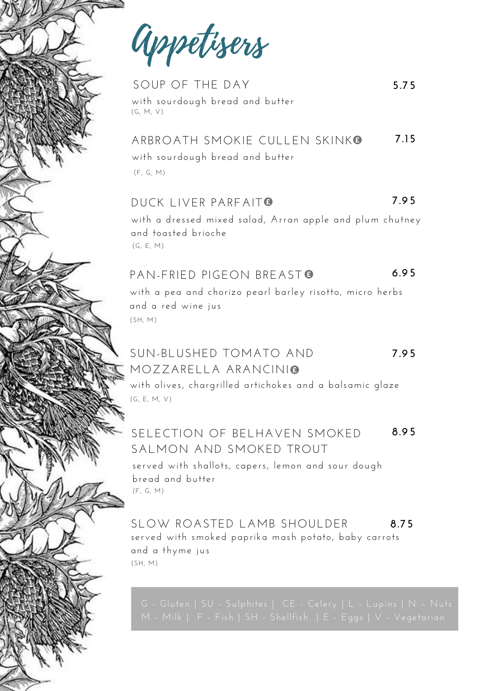Appetisers

SOUP OF THE DAY with sourdough bread and butter (G, M, V)

#### with sourdough bread and butter ARBROATH SMOKIF CULLEN SKINK<sup>®</sup> **7.15**

**5.75**

(F, G, M)

#### DUCK LIVER PARFAIT<sup>®</sup> **7.95**

with a dressed mixed salad, Arran apple and plum chutney and toasted brioche (G, E, M)

#### PAN-FRIED PIGFON BREAST<sup>®</sup> **6.95**

with a pea and chorizo pearl barley risotto, micro herbs and a red wine jus (SH, M)

### SUN-BLUSHED TOMATO AND MOZZARELLA ARANCINI **7.95**

with olives, chargrilled artichokes and a balsamic glaze (G, E, M, V)

#### SELECTION OF BELHAVEN SMOKED SALMON AND SMOKED TROUT **8.95**

served with shallots, capers, lemon and sour dough bread and butter (F, G, M)

#### (SH, M) SLOW ROASTED LAMB SHOULDER served with smoked paprika mash potato, baby carrots and a thyme jus **8.75**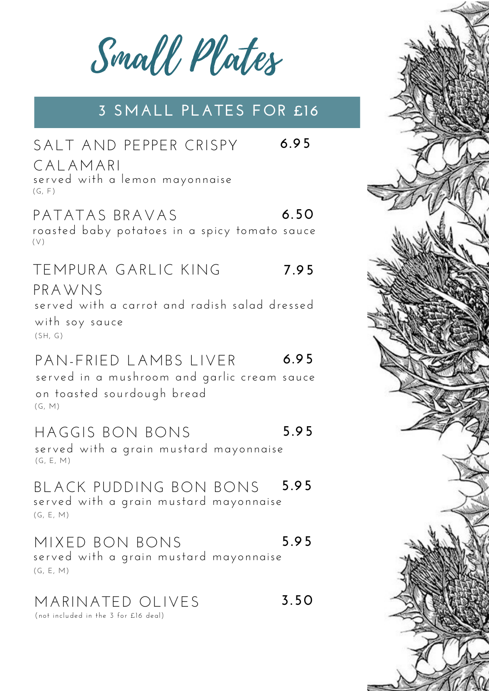Small Plates

# **3 SMALL PLATES FOR £16**

| SALT AND PEPPER CRISPY                                                               | 6.95 |
|--------------------------------------------------------------------------------------|------|
| CALAMARI<br>served with a lemon mayonnaise<br>(G, F)                                 |      |
| PATATAS BRAVAS<br>roasted baby potatoes in a spicy tomato sauce<br>(V)               | 6.50 |
| TEMPURA GARLIC KING                                                                  | 7.95 |
| PRAWNS<br>served with a carrot and radish salad dressed<br>with soy sauce<br>(SH, G) |      |
|                                                                                      |      |

#### PAN-FRIED LAMBS LIVER **6.95**

(G, M) served in a mushroom and garlic cream sauce on toasted sourdough bread

#### HAGGIS BON BONS **5.95**

(G, E, M) served with a grain mustard mayonnaise

#### (G, E, M) BLACK PUDDING BON BONS served with a grain mustard mayonnaise **5.95**

#### MIXED BON BONS served with a grain mustard mayonnaise **5.95**

(G, E, M)

# MARINATED OLIVES **3.50**

(not included in the 3 for £16 deal)

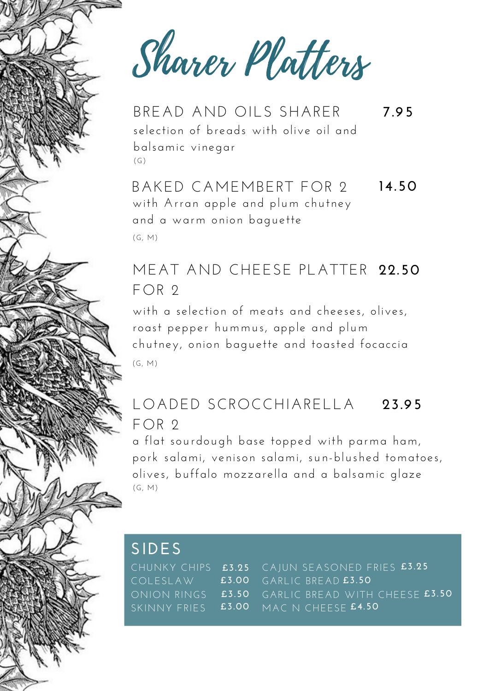Sharer Platters

selection of breads with olive oil and balsamic vinegar  $(G)$ BREAD AND OILS SHARER **7.95**

with Arran apple and plum chutney and a warm onion baguette BAKED CAMEMBERT FOR 2 (G, M) **14.50**

# MEAT AND CHEESE PLATTER **22.50**  $FOR 2$

with a selection of meats and cheeses, olives, roast pepper hummus, apple and plum chutney, onion baguette and toasted focaccia (G, M)

### LOADED SCROCCHIARELLA FOR 2 **23.95**

a flat sourdough base topped with parma ham, pork salami, venison salami, sun-blushed tomatoes, olives, buffalo mozzarella and a balsamic glaze (G, M)

# **SIDES**

CHUNKY CHIPS **£3.25** COLESLAW ONION RINGS SKINNY FRIES CAJUN SEASONED FRIES **£3.25** GARLIC BREAD **£3.50** GARLIC BREAD WITH CHEESE **£3.50** MAC N CHEESE **£4.50£3.00 £3.50 £3.00**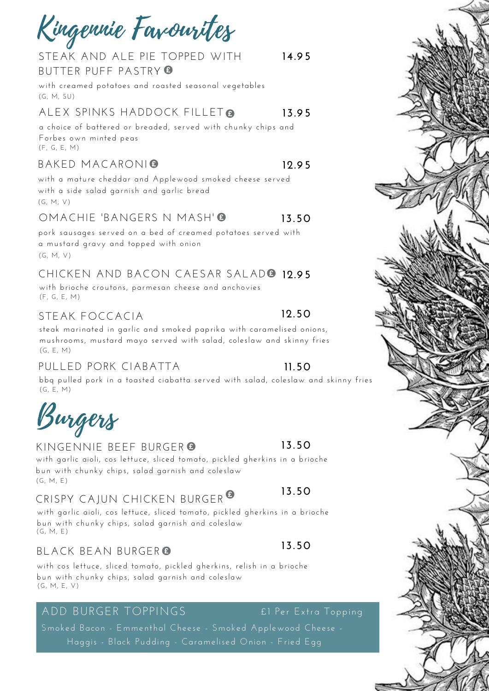Kingennie Favourites

#### STEAK AND ALE PIE TOPPED WITH BUTTER PUFF PASTRY **14.95**

with creamed potatoes and roasted seasonal vegetables (G, M, SU)

#### ALEX SPINKS HADDOCK FILLET **13.95**

a choice of battered or breaded, served with chunky chips and Forbes own minted peas (F, G, E, M)

#### BAKED MACARONI **12.95**

with a mature cheddar and Applewood smoked cheese served with a side salad garnish and garlic bread (G, M, V)

#### OMACHIE 'BANGERS N MASH' **13.50**

pork sausages served on a bed of creamed potatoes served with a mustard gravy and topped with onion (G, M, V)

# CHICKEN AND BACON CAESAR SALAD **12.95**

with brioche croutons, parmesan cheese and anchovies (F, G, E, M)

## STEAK FOCCACIA

### **12.50**

steak marinated in garlic and smoked paprika with caramelised onions, mushrooms, mustard mayo served with salad, coleslaw and skinny fries (G, E, M)

## PULLED PORK CIABATTA

### **11.50**

**13.50**

**13.50**

**13.50**

bbq pulled pork in a toasted ciabatta served with salad, coleslaw and skinny fries (G, E, M)

Burgers

### KINGENNIE BEEF BURGER

with garlic aioli, cos lettuce, sliced tomato, pickled gherkins in a brioche bun with chunky chips, salad garnish and coleslaw (G, M, E)

# CRISPY CAJUN CHICKEN BURGER

with garlic aioli, cos lettuce, sliced tomato, pickled gherkins in a brioche bun with chunky chips, salad garnish and coleslaw (G, M, E)

## BLACK BEAN BURGER

with cos lettuce, sliced tomato, pickled gherkins, relish in a brioche bun with chunky chips, salad garnish and coleslaw (G, M, E, V)

# ADD BURGER TOPPINGS

Haggis - Black Pudding - Caramelised Onion - Fried Egg Smoked Bacon - Emmenthal Cheese - Smoked Applewood Cheese -

![](_page_3_Picture_26.jpeg)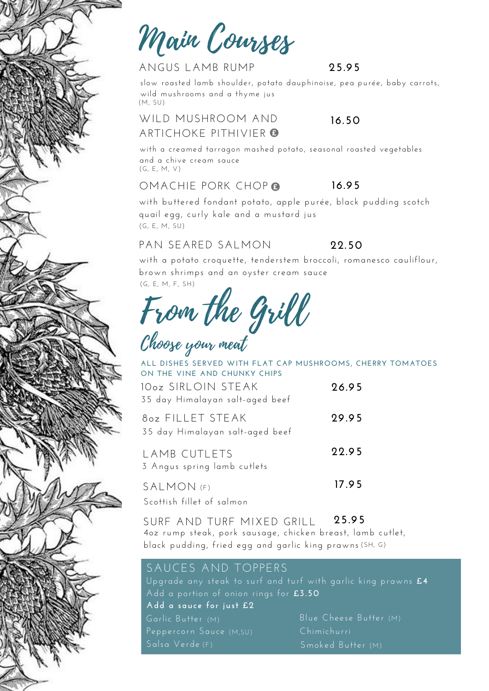Main Courses

### ANGUS LAMB RUMP

#### **25.95**

slow roasted lamb shoulder, potato dauphinoise, pea purée, baby carrots, wild mushrooms and a thyme jus (M, SU)

#### WILD MUSHROOM AND ARTICHOKE PITHIVIER **16.50**

with a creamed tarragon mashed potato, seasonal roasted vegetables and a chive cream sauce (G, E, M, V)

#### OMACHIE PORK CHOP **16.95**

with buttered fondant potato, apple purée, black pudding scotch quail egg, curly kale and a mustard jus (G, E, M, SU)

## PAN SEARED SALMON

**22.50**

(G, E, M, F, SH) with a potato croquette, tenderstem broccoli, romanesco cauliflour, brown shrimps and an oyster cream sauce

From the Grill

10oz SIRLOIN STEAK 35 day Himalayan salt-aged beef 8oz FILLET STEAK A MAD CUTLETS **26.95 29.95 22.95** 35 day Himalayan salt-aged beef **ALL DISHES SERVED WITH FLAT CAP MUSHROOMS, CHERRY TOMATOES ON THE VINE AND CHUNKY CHIPS** Choose your meat

| I AMB CUILEID               | <i>LL.IJ</i> |
|-----------------------------|--------------|
| 3 Angus spring lamb cutlets |              |
| SALMON (F)                  | 17.95        |
| Scottish fillet of salmon   |              |

SURF AND TURF MIXED GRILL 4oz rump steak, pork sausage, chicken breast, lamb cutlet, black pudding, fried egg and garlic king prawns (SH, G) **25.95**

## SAUCES AND TOPPERS

Upgrade any steak to surf and turf with garlic king prawns £4 Add a portion of onion rings for **£3.50** Garlic Butter (M) **Add a sauce for just £2** Blue Cheese Butter (M) Peppercorn Sauce (M,su) Chimichurri

Salsa Verde (F) Smoked Butter (M)